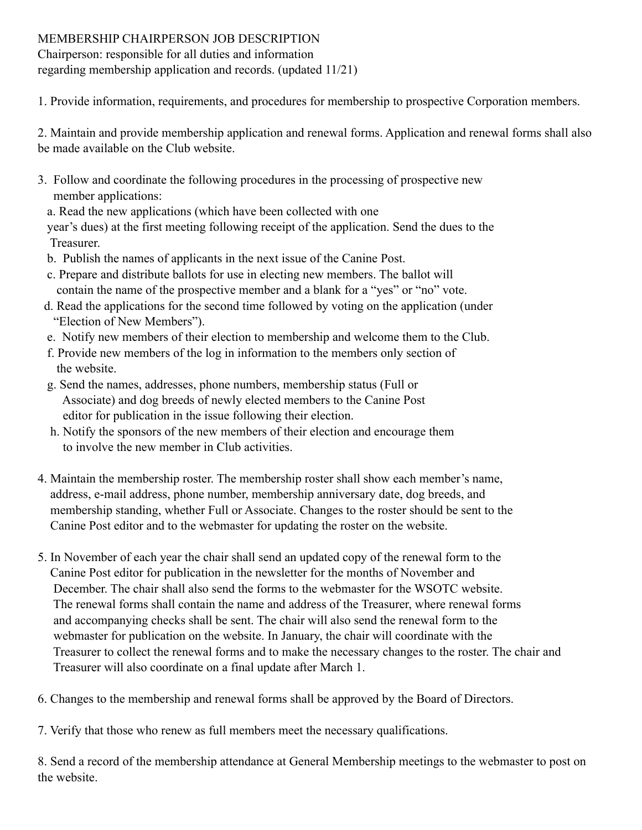## MEMBERSHIP CHAIRPERSON JOB DESCRIPTION

Chairperson: responsible for all duties and information regarding membership application and records. (updated 11/21)

1. Provide information, requirements, and procedures for membership to prospective Corporation members.

2. Maintain and provide membership application and renewal forms. Application and renewal forms shall also be made available on the Club website.

- 3. Follow and coordinate the following procedures in the processing of prospective new member applications:
	- a. Read the new applications (which have been collected with one

 year's dues) at the first meeting following receipt of the application. Send the dues to the Treasurer.

- b. Publish the names of applicants in the next issue of the Canine Post.
- c. Prepare and distribute ballots for use in electing new members. The ballot will contain the name of the prospective member and a blank for a "yes" or "no" vote.
- d. Read the applications for the second time followed by voting on the application (under "Election of New Members").
- e. Notify new members of their election to membership and welcome them to the Club.
- f. Provide new members of the log in information to the members only section of the website.
- g. Send the names, addresses, phone numbers, membership status (Full or Associate) and dog breeds of newly elected members to the Canine Post editor for publication in the issue following their election.
- h. Notify the sponsors of the new members of their election and encourage them to involve the new member in Club activities.
- 4. Maintain the membership roster. The membership roster shall show each member's name, address, e-mail address, phone number, membership anniversary date, dog breeds, and membership standing, whether Full or Associate. Changes to the roster should be sent to the Canine Post editor and to the webmaster for updating the roster on the website.
- 5. In November of each year the chair shall send an updated copy of the renewal form to the Canine Post editor for publication in the newsletter for the months of November and December. The chair shall also send the forms to the webmaster for the WSOTC website. The renewal forms shall contain the name and address of the Treasurer, where renewal forms and accompanying checks shall be sent. The chair will also send the renewal form to the webmaster for publication on the website. In January, the chair will coordinate with the Treasurer to collect the renewal forms and to make the necessary changes to the roster. The chair and Treasurer will also coordinate on a final update after March 1.
- 6. Changes to the membership and renewal forms shall be approved by the Board of Directors.
- 7. Verify that those who renew as full members meet the necessary qualifications.

8. Send a record of the membership attendance at General Membership meetings to the webmaster to post on the website.